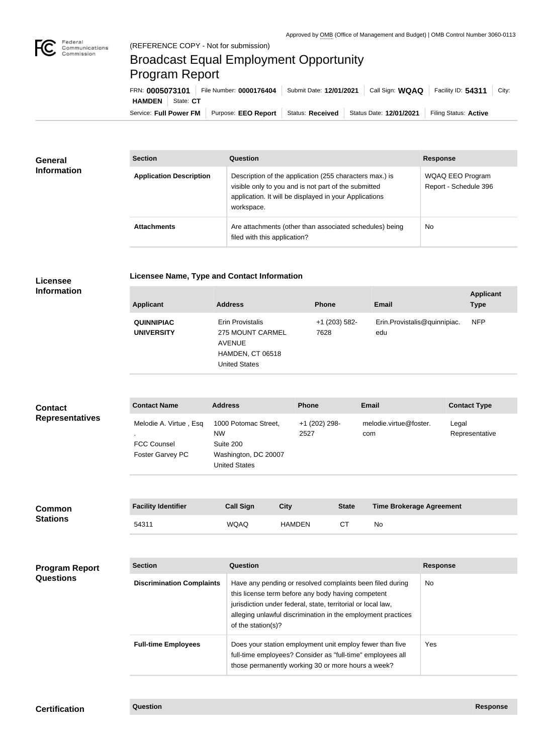

## Broadcast Equal Employment Opportunity Program Report

Service: Full Power FM Purpose: EEO Report | Status: Received | Status Date: 12/01/2021 | Filing Status: Active **HAMDEN** State: CT FRN: **0005073101** File Number: **0000176404** Submit Date: **12/01/2021** Call Sign: **WQAQ** Facility ID: **54311** City:

| <b>General</b><br><b>Information</b> | <b>Section</b>                 | <b>Question</b>                                                                                                                                                                         | <b>Response</b>                                  |  |
|--------------------------------------|--------------------------------|-----------------------------------------------------------------------------------------------------------------------------------------------------------------------------------------|--------------------------------------------------|--|
|                                      | <b>Application Description</b> | Description of the application (255 characters max.) is<br>visible only to you and is not part of the submitted<br>application. It will be displayed in your Applications<br>workspace. | <b>WQAQ EEO Program</b><br>Report - Schedule 396 |  |
|                                      | <b>Attachments</b>             | Are attachments (other than associated schedules) being<br>filed with this application?                                                                                                 | <b>No</b>                                        |  |

## **Licensee Name, Type and Contact Information Licensee**

**Information**

| <b>Applicant</b>                       | <b>Address</b>                                                                                    | <b>Phone</b>          | <b>Email</b>                        | <b>Applicant</b><br><b>Type</b> |
|----------------------------------------|---------------------------------------------------------------------------------------------------|-----------------------|-------------------------------------|---------------------------------|
| <b>QUINNIPIAC</b><br><b>UNIVERSITY</b> | Erin Provistalis<br>275 MOUNT CARMEL<br><b>AVENUE</b><br>HAMDEN, CT 06518<br><b>United States</b> | +1 (203) 582-<br>7628 | Erin.Provistalis@quinnipiac.<br>edu | <b>NFP</b>                      |

| <b>Contact</b><br><b>Representatives</b> | <b>Contact Name</b>                                              | <b>Address</b>                                                                                 | <b>Phone</b>          | <b>Email</b>                    | <b>Contact Type</b>     |
|------------------------------------------|------------------------------------------------------------------|------------------------------------------------------------------------------------------------|-----------------------|---------------------------------|-------------------------|
|                                          | Melodie A. Virtue, Esq<br><b>FCC Counsel</b><br>Foster Garvey PC | 1000 Potomac Street,<br><b>NW</b><br>Suite 200<br>Washington, DC 20007<br><b>United States</b> | +1 (202) 298-<br>2527 | melodie.virtue@foster.<br>com   | Legal<br>Representative |
| Gamma                                    | <b>Facility Identifier</b>                                       | <b>Call Sign</b><br>City                                                                       | <b>State</b>          | <b>Time Brokerage Agreement</b> |                         |

| <b>Common</b><br><b>Stations</b> | <b>Facility Identifier</b> | <b>Call Sign</b> | City          | <b>State</b> | <b>Time Brokerage Agreement</b> |
|----------------------------------|----------------------------|------------------|---------------|--------------|---------------------------------|
|                                  | 54311                      | <b>WQAQ</b>      | <b>HAMDEN</b> |              | No                              |

| <b>Program Report</b><br><b>Questions</b> | <b>Section</b>                   | <b>Question</b>                                                                                                                                                                                                                                                       | <b>Response</b> |
|-------------------------------------------|----------------------------------|-----------------------------------------------------------------------------------------------------------------------------------------------------------------------------------------------------------------------------------------------------------------------|-----------------|
|                                           | <b>Discrimination Complaints</b> | Have any pending or resolved complaints been filed during<br>this license term before any body having competent<br>jurisdiction under federal, state, territorial or local law,<br>alleging unlawful discrimination in the employment practices<br>of the station(s)? | <b>No</b>       |
|                                           | <b>Full-time Employees</b>       | Does your station employment unit employ fewer than five<br>full-time employees? Consider as "full-time" employees all<br>those permanently working 30 or more hours a week?                                                                                          | Yes.            |